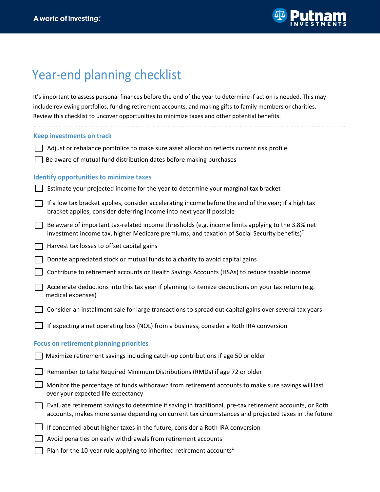

## Year-end planning checklist

It's important to assess personal finances before the end of the year to determine if action is needed. This may include reviewing portfolios, funding retirement accounts, and making gifts to family members or charities. Review this checklist to uncover opportunities to minimize taxes and other potential benefits. 

| Keep investments on track                       |                                                                                                                                                                                                                |  |
|-------------------------------------------------|----------------------------------------------------------------------------------------------------------------------------------------------------------------------------------------------------------------|--|
|                                                 | Adjust or rebalance portfolios to make sure asset allocation reflects current risk profile                                                                                                                     |  |
|                                                 | Be aware of mutual fund distribution dates before making purchases                                                                                                                                             |  |
| <b>Identify opportunities to minimize taxes</b> |                                                                                                                                                                                                                |  |
|                                                 | Estimate your projected income for the year to determine your marginal tax bracket                                                                                                                             |  |
|                                                 | If a low tax bracket applies, consider accelerating income before the end of the year; if a high tax<br>bracket applies, consider deferring income into next year if possible                                  |  |
|                                                 | Be aware of important tax-related income thresholds (e.g. income limits applying to the 3.8% net<br>investment income tax, higher Medicare premiums, and taxation of Social Security benefits)*                |  |
|                                                 | Harvest tax losses to offset capital gains                                                                                                                                                                     |  |
|                                                 | Donate appreciated stock or mutual funds to a charity to avoid capital gains                                                                                                                                   |  |
|                                                 | Contribute to retirement accounts or Health Savings Accounts (HSAs) to reduce taxable income                                                                                                                   |  |
|                                                 | Accelerate deductions into this tax year if planning to itemize deductions on your tax return (e.g.<br>medical expenses)                                                                                       |  |
|                                                 | Consider an installment sale for large transactions to spread out capital gains over several tax years                                                                                                         |  |
|                                                 | If expecting a net operating loss (NOL) from a business, consider a Roth IRA conversion                                                                                                                        |  |
| <b>Focus on retirement planning priorities</b>  |                                                                                                                                                                                                                |  |
|                                                 | Maximize retirement savings including catch-up contributions if age 50 or older                                                                                                                                |  |
|                                                 | Remember to take Required Minimum Distributions (RMDs) if age 72 or older <sup>†</sup>                                                                                                                         |  |
|                                                 | Monitor the percentage of funds withdrawn from retirement accounts to make sure savings will last<br>over your expected life expectancy                                                                        |  |
|                                                 | Evaluate retirement savings to determine if saving in traditional, pre-tax retirement accounts, or Roth<br>accounts, makes more sense depending on current tax circumstances and projected taxes in the future |  |
|                                                 | If concerned about higher taxes in the future, consider a Roth IRA conversion                                                                                                                                  |  |
|                                                 | Avoid penalties on early withdrawals from retirement accounts                                                                                                                                                  |  |
|                                                 | Plan for the 10-year rule applying to inherited retirement accounts <sup>#</sup>                                                                                                                               |  |